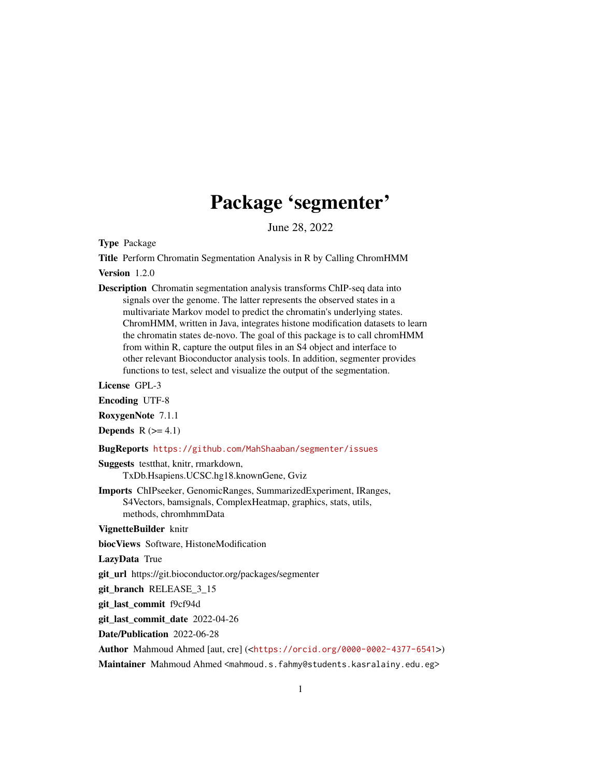## Package 'segmenter'

June 28, 2022

<span id="page-0-0"></span>Type Package

Title Perform Chromatin Segmentation Analysis in R by Calling ChromHMM

Version 1.2.0

Description Chromatin segmentation analysis transforms ChIP-seq data into signals over the genome. The latter represents the observed states in a multivariate Markov model to predict the chromatin's underlying states. ChromHMM, written in Java, integrates histone modification datasets to learn the chromatin states de-novo. The goal of this package is to call chromHMM from within R, capture the output files in an S4 object and interface to other relevant Bioconductor analysis tools. In addition, segmenter provides functions to test, select and visualize the output of the segmentation.

License GPL-3

Encoding UTF-8

RoxygenNote 7.1.1

**Depends**  $R$  ( $>= 4.1$ )

#### BugReports <https://github.com/MahShaaban/segmenter/issues>

Suggests testthat, knitr, rmarkdown, TxDb.Hsapiens.UCSC.hg18.knownGene, Gviz

Imports ChIPseeker, GenomicRanges, SummarizedExperiment, IRanges, S4Vectors, bamsignals, ComplexHeatmap, graphics, stats, utils, methods, chromhmmData

VignetteBuilder knitr

biocViews Software, HistoneModification

LazyData True

git\_url https://git.bioconductor.org/packages/segmenter

git branch RELEASE 3 15

git\_last\_commit f9cf94d

git\_last\_commit\_date 2022-04-26

Date/Publication 2022-06-28

Author Mahmoud Ahmed [aut, cre] (<<https://orcid.org/0000-0002-4377-6541>>)

Maintainer Mahmoud Ahmed <mahmoud.s.fahmy@students.kasralainy.edu.eg>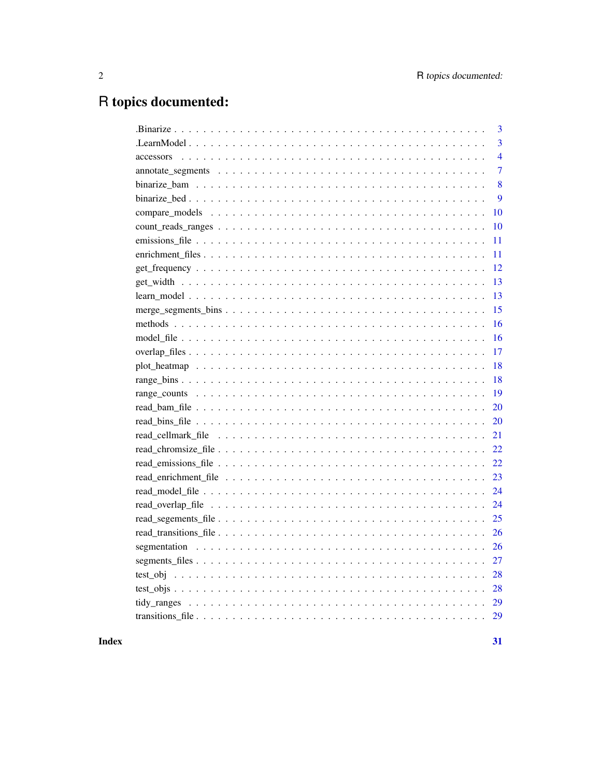# R topics documented:

|    | 3              |
|----|----------------|
|    | $\overline{3}$ |
|    | $\overline{4}$ |
|    | $\overline{7}$ |
|    | 8              |
|    | 9              |
|    | 10             |
| 10 |                |
|    | 11             |
|    | 11             |
| 12 |                |
| 13 |                |
| 13 |                |
| 15 |                |
| 16 |                |
| 16 |                |
| 17 |                |
| 18 |                |
| 18 |                |
| 19 |                |
| 20 |                |
| 20 |                |
| 21 |                |
| 22 |                |
| 22 |                |
| 23 |                |
| 24 |                |
| 24 |                |
| 25 |                |
| 26 |                |
| 26 |                |
| 27 |                |
| 28 |                |
| 28 |                |
| 29 |                |
|    |                |
|    |                |

## **Index**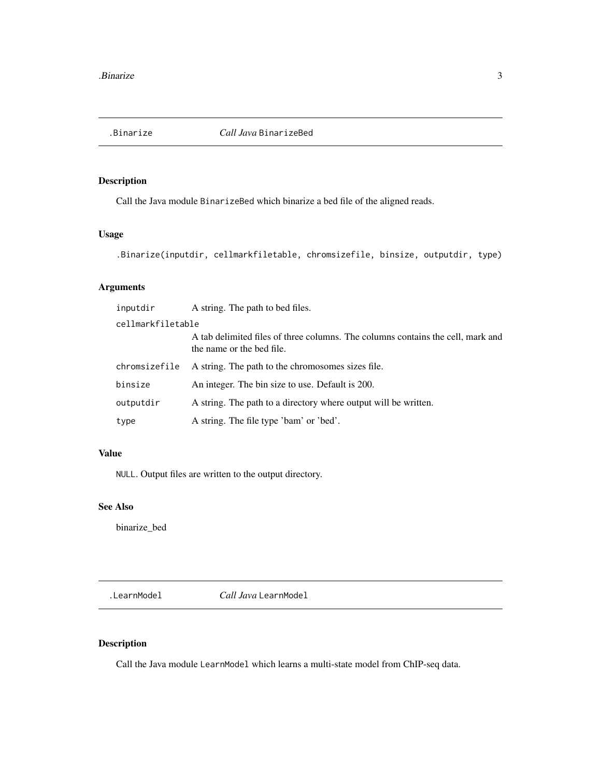<span id="page-2-0"></span>

## Description

Call the Java module BinarizeBed which binarize a bed file of the aligned reads.

#### Usage

```
.Binarize(inputdir, cellmarkfiletable, chromsizefile, binsize, outputdir, type)
```
## Arguments

| inputdir          | A string. The path to bed files.                                                                             |
|-------------------|--------------------------------------------------------------------------------------------------------------|
| cellmarkfiletable |                                                                                                              |
|                   | A tab delimited files of three columns. The columns contains the cell, mark and<br>the name or the bed file. |
| chromsizefile     | A string. The path to the chromosomes sizes file.                                                            |
| binsize           | An integer. The bin size to use. Default is 200.                                                             |
| outputdir         | A string. The path to a directory where output will be written.                                              |
| type              | A string. The file type 'bam' or 'bed'.                                                                      |

## Value

NULL. Output files are written to the output directory.

#### See Also

binarize\_bed

.LearnModel *Call Java* LearnModel

## Description

Call the Java module LearnModel which learns a multi-state model from ChIP-seq data.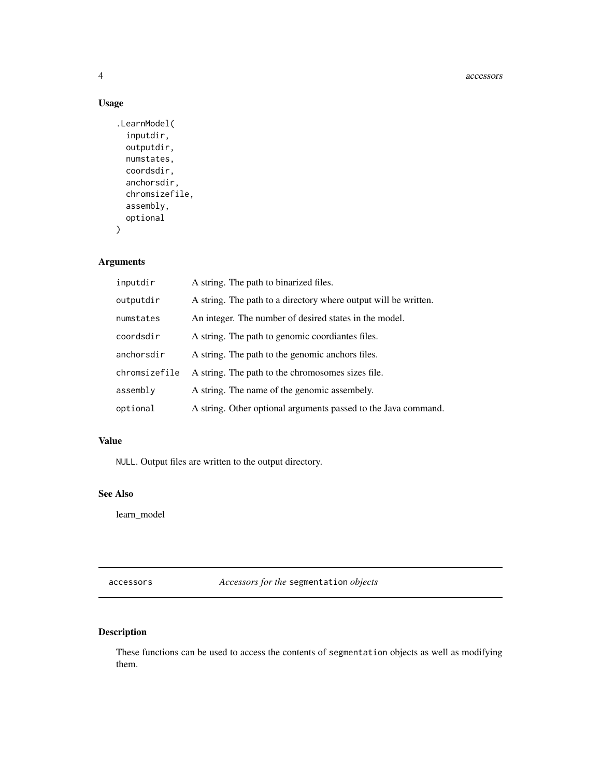#### 4 accessors

## Usage

```
.LearnModel(
  inputdir,
  outputdir,
 numstates,
  coordsdir,
  anchorsdir,
  chromsizefile,
  assembly,
  optional
\mathcal{L}
```
#### Arguments

| inputdir      | A string. The path to binarized files.                          |
|---------------|-----------------------------------------------------------------|
| outputdir     | A string. The path to a directory where output will be written. |
| numstates     | An integer. The number of desired states in the model.          |
| coordsdir     | A string. The path to genomic coordiantes files.                |
| anchorsdir    | A string. The path to the genomic anchors files.                |
| chromsizefile | A string. The path to the chromosomes sizes file.               |
| assembly      | A string. The name of the genomic assembely.                    |
| optional      | A string. Other optional arguments passed to the Java command.  |

## Value

NULL. Output files are written to the output directory.

## See Also

learn\_model

accessors *Accessors for the* segmentation *objects*

## <span id="page-3-1"></span>Description

These functions can be used to access the contents of segmentation objects as well as modifying them.

<span id="page-3-0"></span>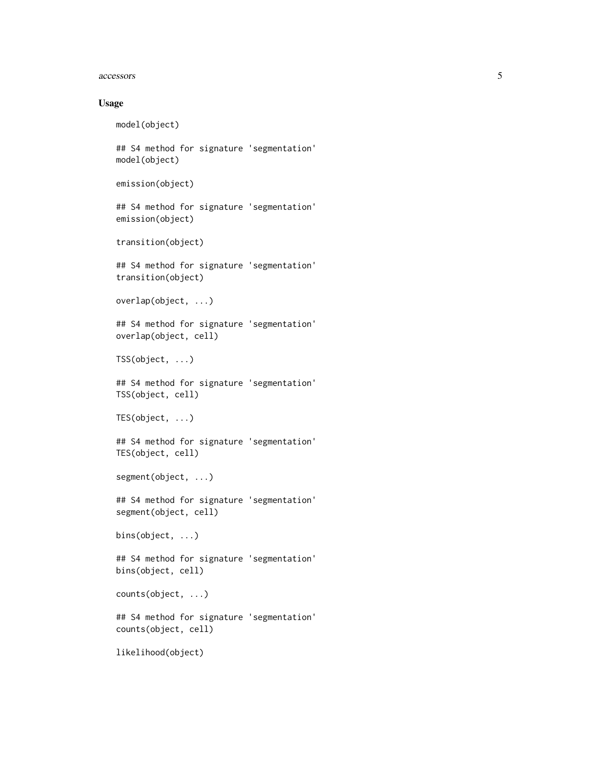#### accessors 5

#### Usage

model(object)

## S4 method for signature 'segmentation' model(object)

```
emission(object)
```
## S4 method for signature 'segmentation' emission(object)

transition(object)

## S4 method for signature 'segmentation' transition(object)

```
overlap(object, ...)
```
## S4 method for signature 'segmentation' overlap(object, cell)

TSS(object, ...)

## S4 method for signature 'segmentation' TSS(object, cell)

TES(object, ...)

## S4 method for signature 'segmentation' TES(object, cell)

```
segment(object, ...)
```
## S4 method for signature 'segmentation' segment(object, cell)

bins(object, ...)

## S4 method for signature 'segmentation' bins(object, cell)

counts(object, ...)

## S4 method for signature 'segmentation' counts(object, cell)

likelihood(object)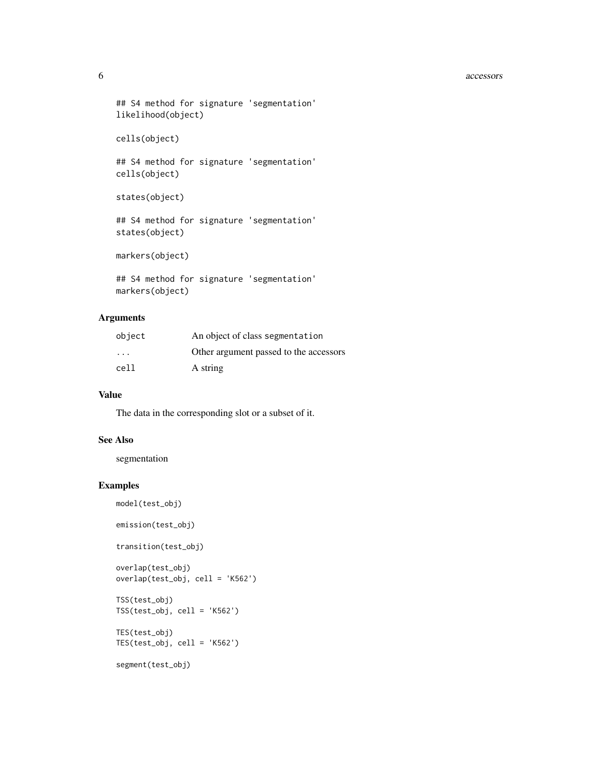#### 6 accessors and the contract of the contract of the contract of the contract of the contract of the contract of the contract of the contract of the contract of the contract of the contract of the contract of the contract o

```
## S4 method for signature 'segmentation'
likelihood(object)
```

```
cells(object)
```
## S4 method for signature 'segmentation' cells(object)

```
states(object)
```
## S4 method for signature 'segmentation' states(object)

markers(object)

## S4 method for signature 'segmentation' markers(object)

#### Arguments

| object | An object of class segmentation        |
|--------|----------------------------------------|
| .      | Other argument passed to the accessors |
| cell   | A string                               |

## Value

The data in the corresponding slot or a subset of it.

#### See Also

segmentation

#### Examples

```
model(test_obj)
```
emission(test\_obj)

transition(test\_obj)

```
overlap(test_obj)
overlap(test_obj, cell = 'K562')
TSS(test_obj)
TSS(test_obj, cell = 'K562')
TES(test_obj)
TES(test_obj, cell = 'K562')
```

```
segment(test_obj)
```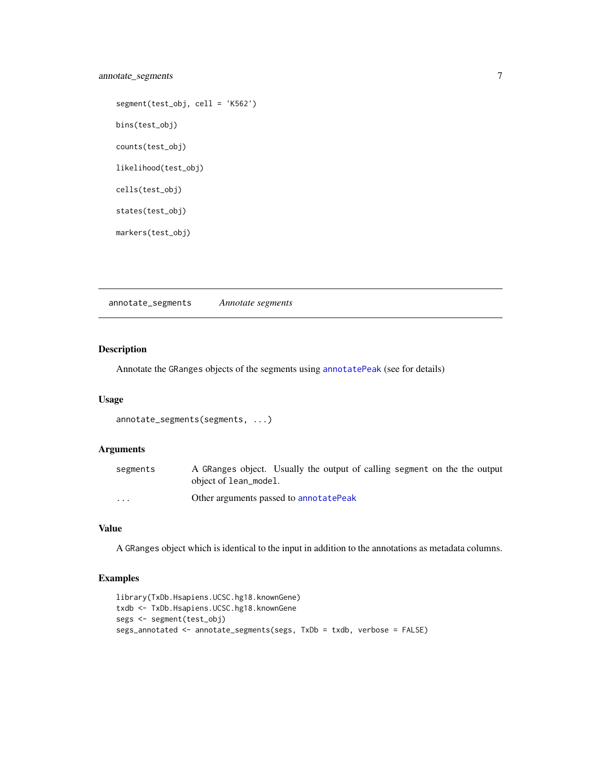## <span id="page-6-0"></span>annotate\_segments 7

```
segment(test_obj, cell = 'K562')
bins(test_obj)
counts(test_obj)
likelihood(test_obj)
cells(test_obj)
states(test_obj)
markers(test_obj)
```
annotate\_segments *Annotate segments*

#### Description

Annotate the GRanges objects of the segments using [annotatePeak](#page-0-0) (see for details)

#### Usage

```
annotate_segments(segments, ...)
```
#### Arguments

| segments                | A GRanges object. Usually the output of calling segment on the the output<br>object of lean_model. |
|-------------------------|----------------------------------------------------------------------------------------------------|
| $\cdot$ $\cdot$ $\cdot$ | Other arguments passed to annotatePeak                                                             |

#### Value

A GRanges object which is identical to the input in addition to the annotations as metadata columns.

#### Examples

```
library(TxDb.Hsapiens.UCSC.hg18.knownGene)
txdb <- TxDb.Hsapiens.UCSC.hg18.knownGene
segs <- segment(test_obj)
segs_annotated <- annotate_segments(segs, TxDb = txdb, verbose = FALSE)
```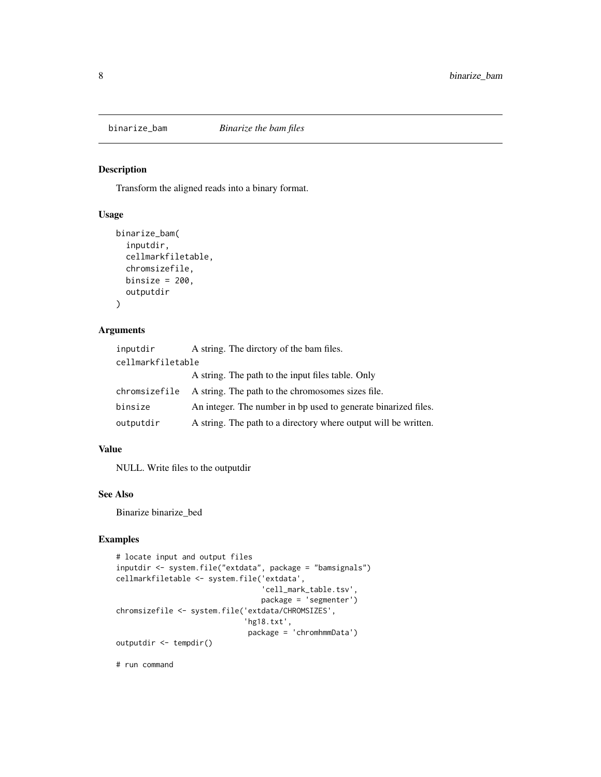<span id="page-7-0"></span>

#### Description

Transform the aligned reads into a binary format.

#### Usage

```
binarize_bam(
  inputdir,
  cellmarkfiletable,
  chromsizefile,
  binsize = 200,
  outputdir
\mathcal{L}
```
#### Arguments

| inputdir          | A string. The directory of the bam files.                       |
|-------------------|-----------------------------------------------------------------|
| cellmarkfiletable |                                                                 |
|                   | A string. The path to the input files table. Only               |
| chromsizefile     | A string. The path to the chromosomes sizes file.               |
| binsize           | An integer. The number in bp used to generate binarized files.  |
| outputdir         | A string. The path to a directory where output will be written. |

#### Value

NULL. Write files to the outputdir

#### See Also

Binarize binarize\_bed

## Examples

```
# locate input and output files
inputdir <- system.file("extdata", package = "bamsignals")
cellmarkfiletable <- system.file('extdata',
                                 'cell_mark_table.tsv',
                                 package = 'segmenter')
chromsizefile <- system.file('extdata/CHROMSIZES',
                             'hg18.txt',
                              package = 'chromhmmData')
outputdir <- tempdir()
```
# run command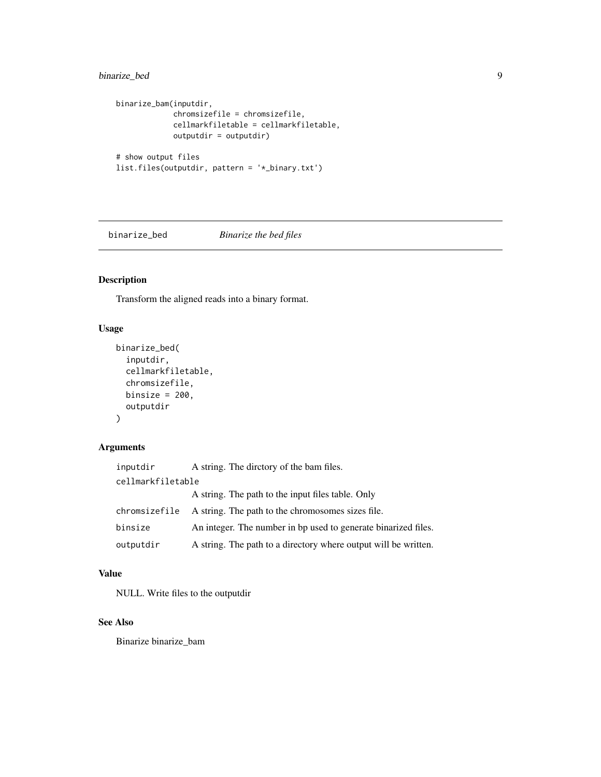## <span id="page-8-0"></span>binarize\_bed 9

```
binarize_bam(inputdir,
             chromsizefile = chromsizefile,
             cellmarkfiletable = cellmarkfiletable,
             outputdir = outputdir)
# show output files
list.files(outputdir, pattern = '*_binary.txt')
```
binarize\_bed *Binarize the bed files*

## Description

Transform the aligned reads into a binary format.

#### Usage

```
binarize_bed(
  inputdir,
  cellmarkfiletable,
  chromsizefile,
 binsize = 200,
  outputdir
)
```
#### Arguments

| inputdir          | A string. The directory of the bam files.                       |
|-------------------|-----------------------------------------------------------------|
| cellmarkfiletable |                                                                 |
|                   | A string. The path to the input files table. Only               |
| chromsizefile     | A string. The path to the chromosomes sizes file.               |
| binsize           | An integer. The number in bp used to generate binarized files.  |
| outputdir         | A string. The path to a directory where output will be written. |

#### Value

NULL. Write files to the outputdir

#### See Also

Binarize binarize\_bam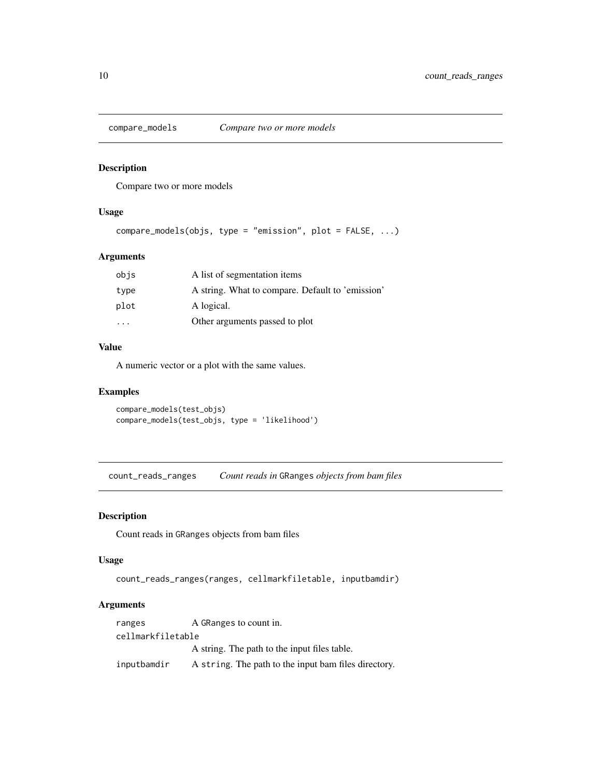<span id="page-9-0"></span>

#### Description

Compare two or more models

#### Usage

```
compare_models(objs, type = "emission", plot = FALSE, ...)
```
#### Arguments

| obis                    | A list of segmentation items                     |
|-------------------------|--------------------------------------------------|
| type                    | A string. What to compare. Default to 'emission' |
| plot                    | A logical.                                       |
| $\cdot$ $\cdot$ $\cdot$ | Other arguments passed to plot                   |

#### Value

A numeric vector or a plot with the same values.

#### Examples

```
compare_models(test_objs)
compare_models(test_objs, type = 'likelihood')
```
count\_reads\_ranges *Count reads in* GRanges *objects from bam files*

#### Description

Count reads in GRanges objects from bam files

#### Usage

```
count_reads_ranges(ranges, cellmarkfiletable, inputbamdir)
```
## Arguments

| ranges            | A GRanges to count in.                               |
|-------------------|------------------------------------------------------|
| cellmarkfiletable |                                                      |
|                   | A string. The path to the input files table.         |
| inputbamdir       | A string. The path to the input bam files directory. |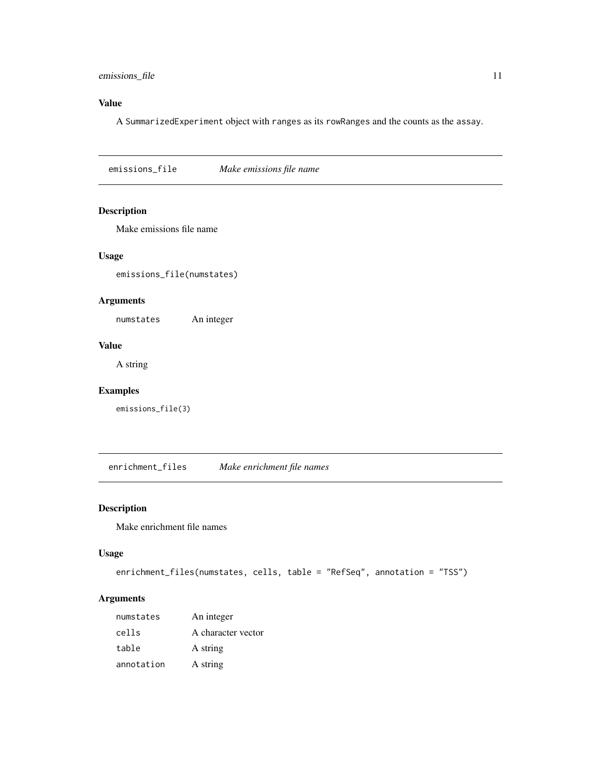#### <span id="page-10-0"></span>emissions\_file 11

## Value

A SummarizedExperiment object with ranges as its rowRanges and the counts as the assay.

emissions\_file *Make emissions file name*

## Description

Make emissions file name

#### Usage

emissions\_file(numstates)

#### Arguments

numstates An integer

## Value

A string

#### Examples

emissions\_file(3)

enrichment\_files *Make enrichment file names*

#### Description

Make enrichment file names

#### Usage

```
enrichment_files(numstates, cells, table = "RefSeq", annotation = "TSS")
```
## Arguments

| numstates  | An integer         |
|------------|--------------------|
| cells      | A character vector |
| table      | A string           |
| annotation | A string           |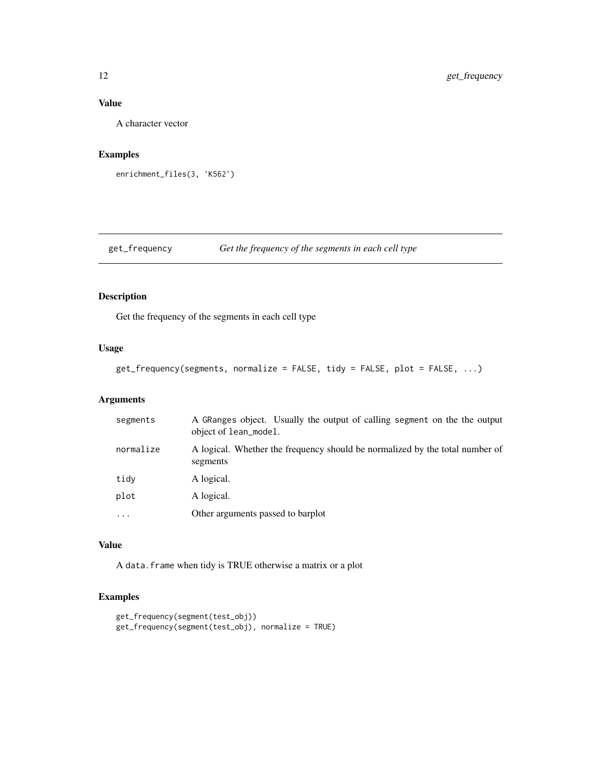## <span id="page-11-0"></span>Value

A character vector

#### Examples

```
enrichment_files(3, 'K562')
```
get\_frequency *Get the frequency of the segments in each cell type*

#### Description

Get the frequency of the segments in each cell type

#### Usage

```
get_frequency(segments, normalize = FALSE, tidy = FALSE, plot = FALSE, ...)
```
## Arguments

| segments                | A GRanges object. Usually the output of calling segment on the the output<br>object of lean_model. |
|-------------------------|----------------------------------------------------------------------------------------------------|
| normalize               | A logical. Whether the frequency should be normalized by the total number of<br>segments           |
| tidy                    | A logical.                                                                                         |
| plot                    | A logical.                                                                                         |
| $\cdot$ $\cdot$ $\cdot$ | Other arguments passed to barplot                                                                  |

## Value

A data.frame when tidy is TRUE otherwise a matrix or a plot

#### Examples

```
get_frequency(segment(test_obj))
get_frequency(segment(test_obj), normalize = TRUE)
```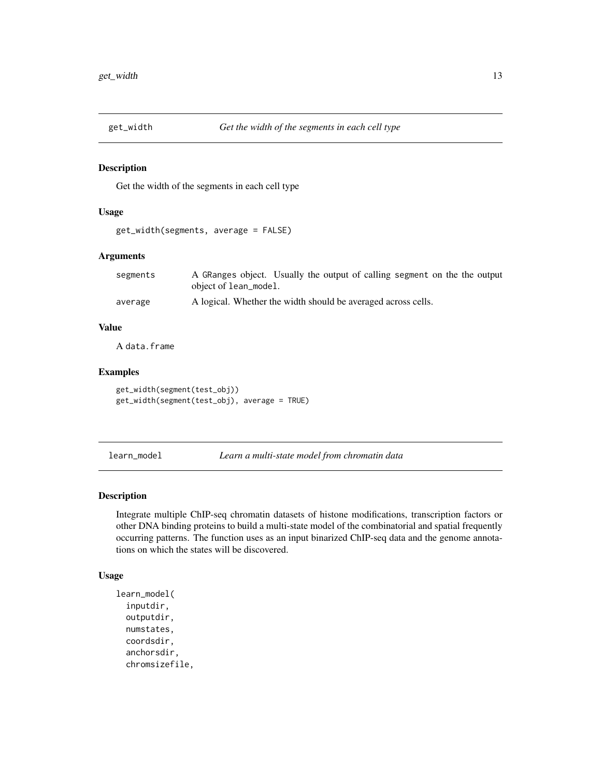<span id="page-12-0"></span>

#### Description

Get the width of the segments in each cell type

#### Usage

```
get_width(segments, average = FALSE)
```
#### Arguments

| segments | A GRanges object. Usually the output of calling segment on the the output |
|----------|---------------------------------------------------------------------------|
|          | object of lean_model.                                                     |
| average  | A logical. Whether the width should be averaged across cells.             |

#### Value

A data.frame

## Examples

```
get_width(segment(test_obj))
get_width(segment(test_obj), average = TRUE)
```
<span id="page-12-1"></span>learn\_model *Learn a multi-state model from chromatin data*

#### Description

Integrate multiple ChIP-seq chromatin datasets of histone modifications, transcription factors or other DNA binding proteins to build a multi-state model of the combinatorial and spatial frequently occurring patterns. The function uses as an input binarized ChIP-seq data and the genome annotations on which the states will be discovered.

#### Usage

```
learn_model(
  inputdir,
  outputdir,
  numstates,
  coordsdir,
  anchorsdir,
  chromsizefile,
```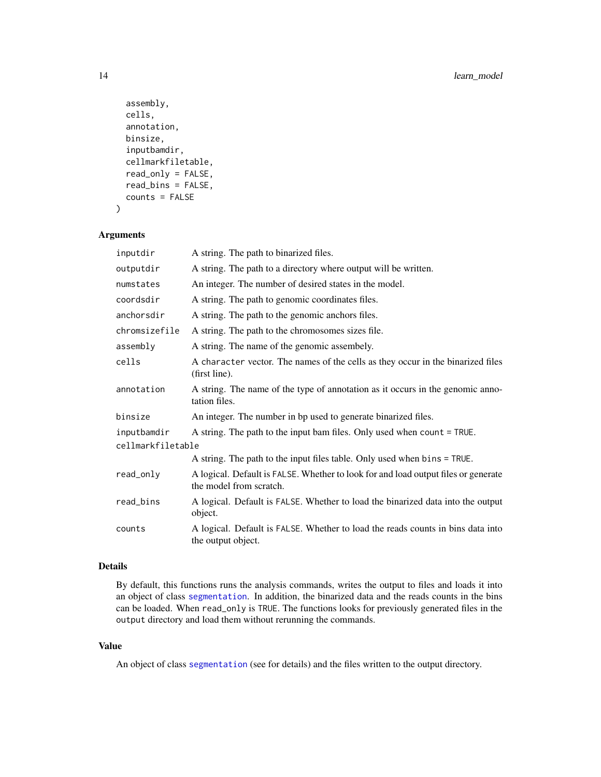```
assembly,
cells,
annotation,
binsize,
inputbamdir,
cellmarkfiletable,
read_only = FALSE,
read_bins = FALSE,
counts = FALSE
```
)

## Arguments

| inputdir          | A string. The path to binarized files.                                                                        |  |
|-------------------|---------------------------------------------------------------------------------------------------------------|--|
| outputdir         | A string. The path to a directory where output will be written.                                               |  |
| numstates         | An integer. The number of desired states in the model.                                                        |  |
| coordsdir         | A string. The path to genomic coordinates files.                                                              |  |
| anchorsdir        | A string. The path to the genomic anchors files.                                                              |  |
| chromsizefile     | A string. The path to the chromosomes sizes file.                                                             |  |
| assembly          | A string. The name of the genomic assembely.                                                                  |  |
| cells             | A character vector. The names of the cells as they occur in the binarized files<br>(first line).              |  |
| annotation        | A string. The name of the type of annotation as it occurs in the genomic anno-<br>tation files.               |  |
| binsize           | An integer. The number in bp used to generate binarized files.                                                |  |
| inputbamdir       | A string. The path to the input bam files. Only used when count = TRUE.                                       |  |
| cellmarkfiletable |                                                                                                               |  |
|                   | A string. The path to the input files table. Only used when bins = TRUE.                                      |  |
| read_only         | A logical. Default is FALSE. Whether to look for and load output files or generate<br>the model from scratch. |  |
| read_bins         | A logical. Default is FALSE. Whether to load the binarized data into the output<br>object.                    |  |
| counts            | A logical. Default is FALSE. Whether to load the reads counts in bins data into<br>the output object.         |  |

## Details

By default, this functions runs the analysis commands, writes the output to files and loads it into an object of class [segmentation](#page-25-1). In addition, the binarized data and the reads counts in the bins can be loaded. When read\_only is TRUE. The functions looks for previously generated files in the output directory and load them without rerunning the commands.

#### Value

An object of class [segmentation](#page-25-1) (see for details) and the files written to the output directory.

<span id="page-13-0"></span>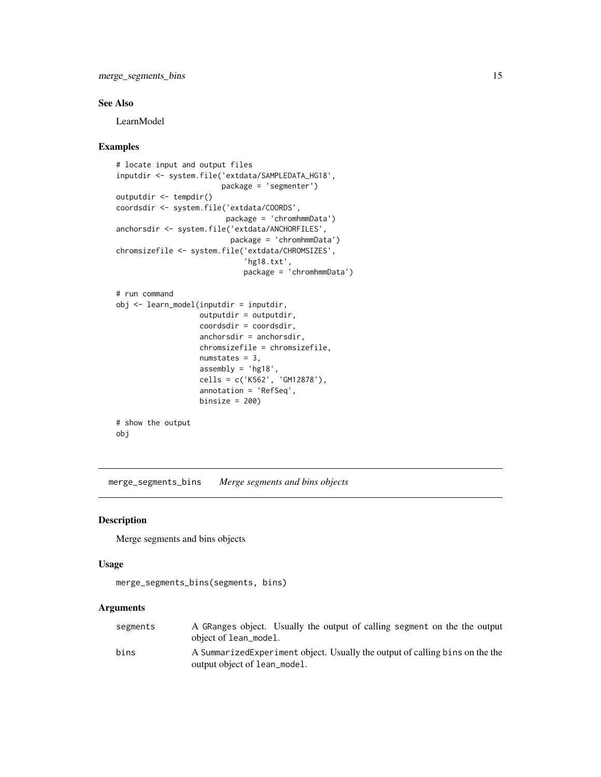<span id="page-14-0"></span>merge\_segments\_bins 15

#### See Also

LearnModel

#### Examples

```
# locate input and output files
inputdir <- system.file('extdata/SAMPLEDATA_HG18',
                        package = 'segmenter')
outputdir <- tempdir()
coordsdir <- system.file('extdata/COORDS',
                        package = 'chromhmmData')
anchorsdir <- system.file('extdata/ANCHORFILES',
                          package = 'chromhmmData')
chromsizefile <- system.file('extdata/CHROMSIZES',
                             'hg18.txt',
                             package = 'chromhmmData')
# run command
obj <- learn_model(inputdir = inputdir,
                   outputdir = outputdir,
                   coordsdir = coordsdir,
                   anchorsdir = anchorsdir,
                   chromsizefile = chromsizefile,
                   numstates = 3,
                   assembly = 'hg18',
                   cells = c('K562', 'GM12878'),
                   annotation = 'RefSeq',
                   binsize = 200# show the output
obj
```
merge\_segments\_bins *Merge segments and bins objects*

#### Description

Merge segments and bins objects

#### Usage

```
merge_segments_bins(segments, bins)
```
#### Arguments

| segments | A GRanges object. Usually the output of calling segment on the the output<br>object of lean_model.            |
|----------|---------------------------------------------------------------------------------------------------------------|
| bins     | A Summarized Experiment object. Usually the output of calling bins on the the<br>output object of lean_model. |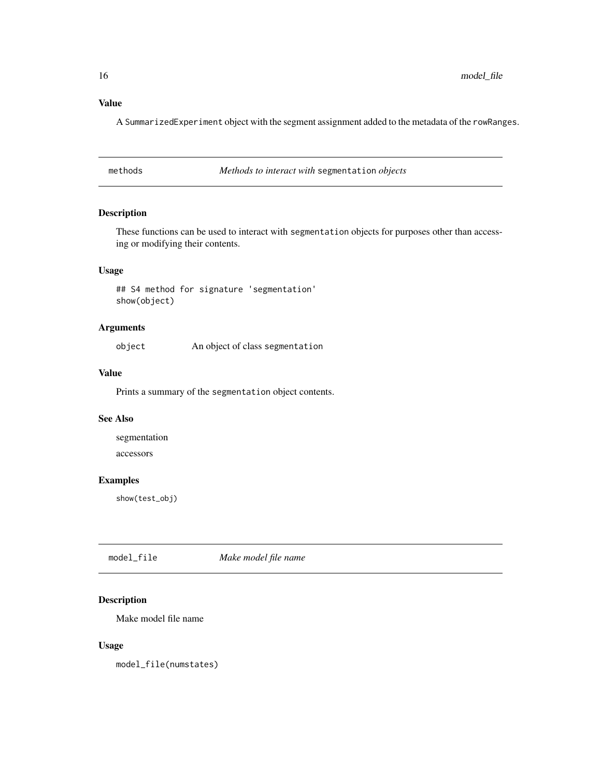## Value

A SummarizedExperiment object with the segment assignment added to the metadata of the rowRanges.

methods *Methods to interact with* segmentation *objects*

#### Description

These functions can be used to interact with segmentation objects for purposes other than accessing or modifying their contents.

## Usage

## S4 method for signature 'segmentation' show(object)

#### Arguments

object An object of class segmentation

#### Value

Prints a summary of the segmentation object contents.

#### See Also

segmentation accessors

## Examples

show(test\_obj)

model\_file *Make model file name*

#### Description

Make model file name

#### Usage

model\_file(numstates)

<span id="page-15-0"></span>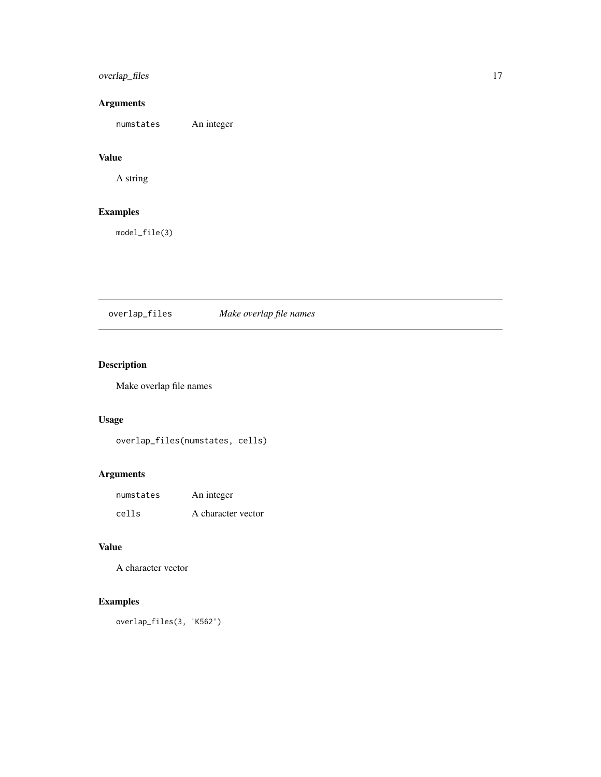## <span id="page-16-0"></span>overlap\_files 17

## Arguments

numstates An integer

## Value

A string

## Examples

model\_file(3)

overlap\_files *Make overlap file names*

## Description

Make overlap file names

## Usage

overlap\_files(numstates, cells)

#### Arguments

| numstates | An integer         |
|-----------|--------------------|
| cells     | A character vector |

#### Value

A character vector

## Examples

overlap\_files(3, 'K562')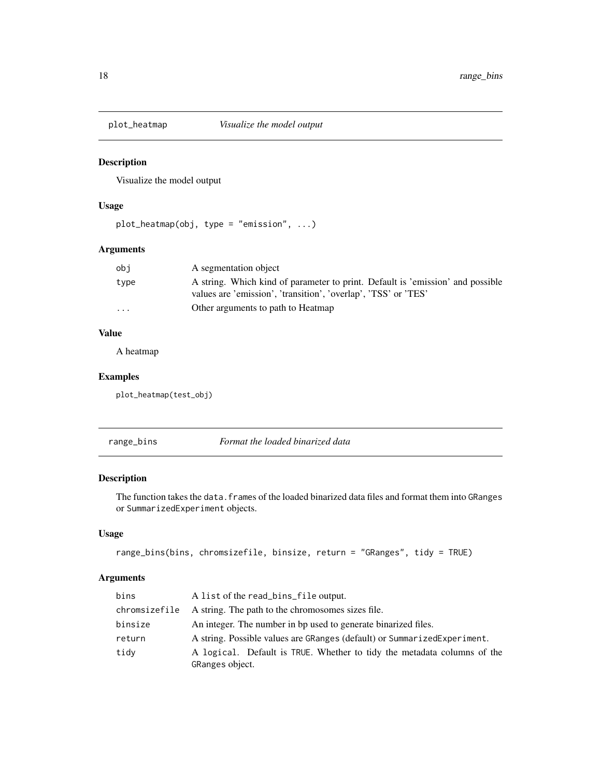<span id="page-17-0"></span>

## Description

Visualize the model output

#### Usage

plot\_heatmap(obj, type = "emission", ...)

## Arguments

| obi                     | A segmentation object                                                                                                                            |
|-------------------------|--------------------------------------------------------------------------------------------------------------------------------------------------|
| type                    | A string. Which kind of parameter to print. Default is 'emission' and possible<br>values are 'emission', 'transition', 'overlap', 'TSS' or 'TES' |
|                         |                                                                                                                                                  |
| $\cdot$ $\cdot$ $\cdot$ | Other arguments to path to Heatmap                                                                                                               |

#### Value

A heatmap

#### Examples

plot\_heatmap(test\_obj)

range\_bins *Format the loaded binarized data*

#### Description

The function takes the data. frames of the loaded binarized data files and format them into GRanges or SummarizedExperiment objects.

#### Usage

```
range_bins(bins, chromsizefile, binsize, return = "GRanges", tidy = TRUE)
```
## Arguments

| bins          | A list of the read_bins_file output.                                                       |
|---------------|--------------------------------------------------------------------------------------------|
| chromsizefile | A string. The path to the chromosomes sizes file.                                          |
| binsize       | An integer. The number in bp used to generate binarized files.                             |
| return        | A string. Possible values are GRanges (default) or Summarized Experiment.                  |
| tidy          | A logical. Default is TRUE. Whether to tidy the metadata columns of the<br>GRanges object. |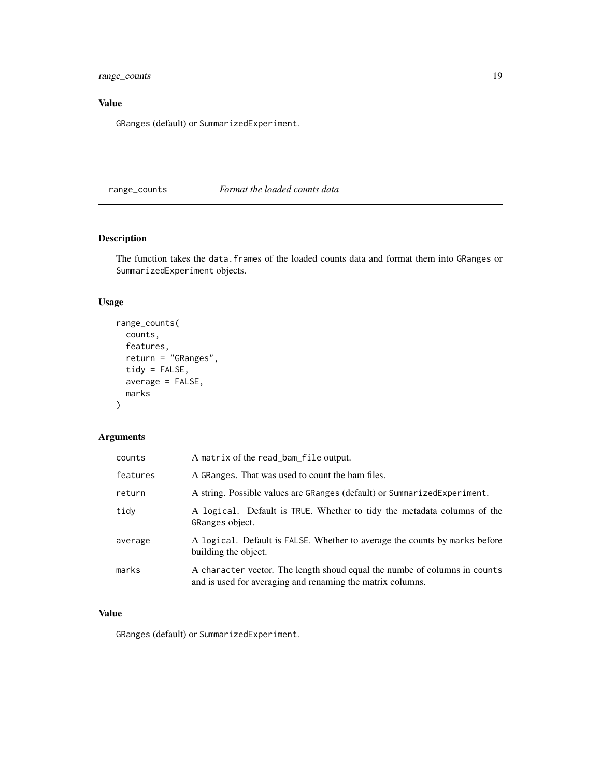<span id="page-18-0"></span>range\_counts 19

## Value

GRanges (default) or SummarizedExperiment.

## range\_counts *Format the loaded counts data*

## Description

The function takes the data. frames of the loaded counts data and format them into GRanges or SummarizedExperiment objects.

## Usage

```
range_counts(
 counts,
 features,
 return = "GRanges",
 tidy = FALSE,
 average = FALSE,
 marks
)
```
## Arguments

| counts   | A matrix of the read_bam_file output.                                                                                                   |
|----------|-----------------------------------------------------------------------------------------------------------------------------------------|
| features | A GRanges. That was used to count the bam files.                                                                                        |
| return   | A string. Possible values are GRanges (default) or SummarizedExperiment.                                                                |
| tidv     | A logical. Default is TRUE. Whether to tidy the metadata columns of the<br>GRanges object.                                              |
| average  | A logical. Default is FALSE. Whether to average the counts by marks before<br>building the object.                                      |
| marks    | A character vector. The length shoud equal the numbe of columns in counts<br>and is used for averaging and renaming the matrix columns. |

#### Value

GRanges (default) or SummarizedExperiment.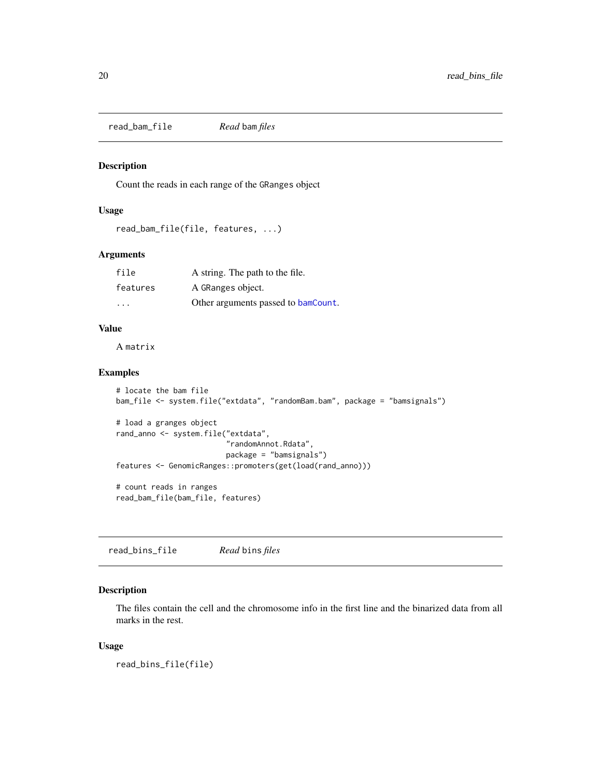<span id="page-19-0"></span>read\_bam\_file *Read* bam *files*

#### Description

Count the reads in each range of the GRanges object

#### Usage

```
read_bam_file(file, features, ...)
```
#### Arguments

| file     | A string. The path to the file.     |
|----------|-------------------------------------|
| features | A GRanges object.                   |
| .        | Other arguments passed to bamCount. |

#### Value

A matrix

#### Examples

```
# locate the bam file
bam_file <- system.file("extdata", "randomBam.bam", package = "bamsignals")
# load a granges object
rand_anno <- system.file("extdata",
                         "randomAnnot.Rdata",
                         package = "bamsignals")
features <- GenomicRanges::promoters(get(load(rand_anno)))
# count reads in ranges
```
read\_bam\_file(bam\_file, features)

read\_bins\_file *Read* bins *files*

#### Description

The files contain the cell and the chromosome info in the first line and the binarized data from all marks in the rest.

#### Usage

read\_bins\_file(file)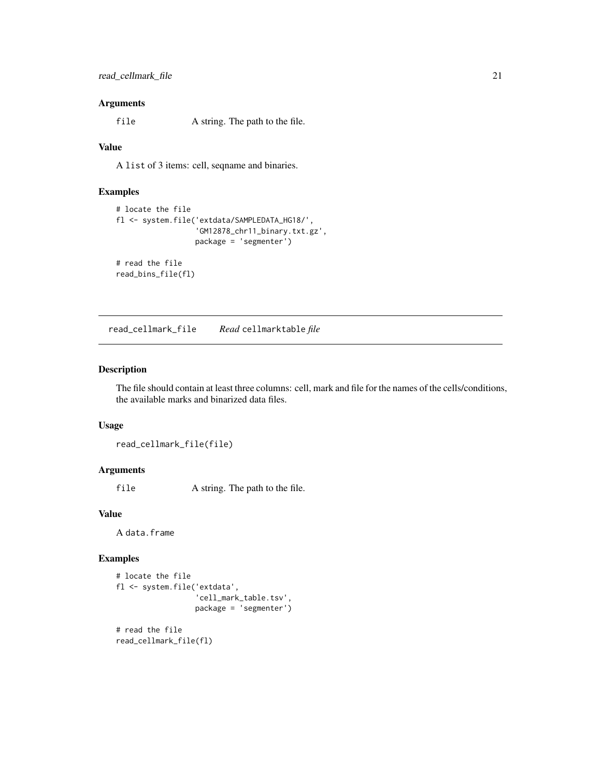#### <span id="page-20-0"></span>Arguments

file A string. The path to the file.

#### Value

A list of 3 items: cell, seqname and binaries.

#### Examples

```
# locate the file
fl <- system.file('extdata/SAMPLEDATA_HG18/',
                  'GM12878_chr11_binary.txt.gz',
                  package = 'segmenter')
# read the file
```
read\_bins\_file(fl)

read\_cellmark\_file *Read* cellmarktable *file*

#### Description

The file should contain at least three columns: cell, mark and file for the names of the cells/conditions, the available marks and binarized data files.

#### Usage

read\_cellmark\_file(file)

#### Arguments

file A string. The path to the file.

## Value

A data.frame

#### Examples

```
# locate the file
fl <- system.file('extdata',
                  'cell_mark_table.tsv',
                  package = 'segmenter')
# read the file
read_cellmark_file(fl)
```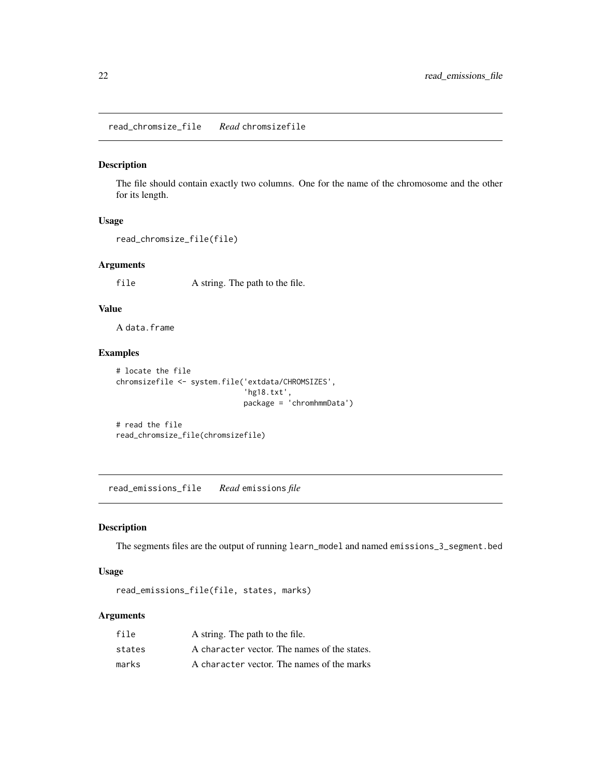<span id="page-21-0"></span>read\_chromsize\_file *Read* chromsizefile

#### Description

The file should contain exactly two columns. One for the name of the chromosome and the other for its length.

#### Usage

```
read_chromsize_file(file)
```
#### Arguments

file A string. The path to the file.

#### Value

A data.frame

#### Examples

```
# locate the file
chromsizefile <- system.file('extdata/CHROMSIZES',
                             'hg18.txt',
                             package = 'chromhmmData')
```
# read the file read\_chromsize\_file(chromsizefile)

read\_emissions\_file *Read* emissions *file*

#### Description

The segments files are the output of running learn\_model and named emissions\_3\_segment.bed

#### Usage

```
read_emissions_file(file, states, marks)
```
#### Arguments

| file   | A string. The path to the file.              |
|--------|----------------------------------------------|
| states | A character vector. The names of the states. |
| marks  | A character vector. The names of the marks   |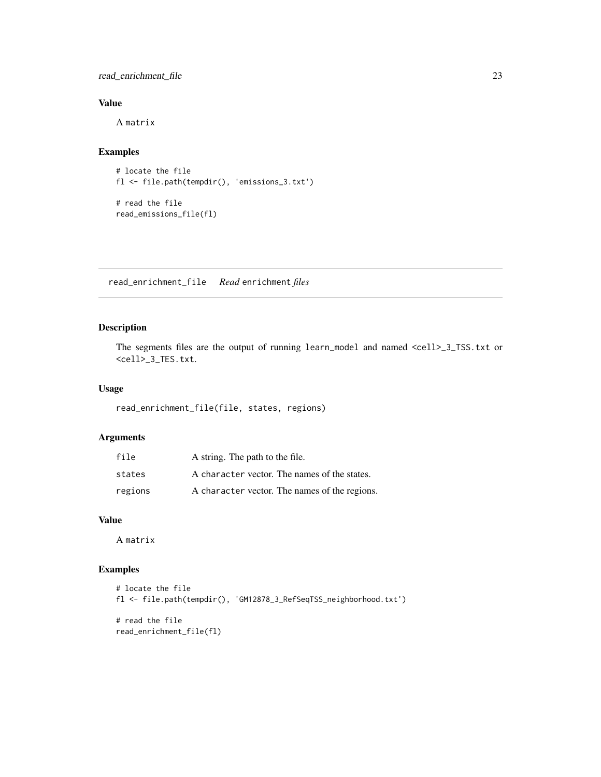#### <span id="page-22-0"></span>read\_enrichment\_file 23

#### Value

A matrix

## Examples

```
# locate the file
fl <- file.path(tempdir(), 'emissions_3.txt')
```
# read the file read\_emissions\_file(fl)

read\_enrichment\_file *Read* enrichment *files*

#### Description

The segments files are the output of running learn\_model and named <cell>\_3\_TSS.txt or <cell>\_3\_TES.txt.

#### Usage

read\_enrichment\_file(file, states, regions)

## Arguments

| file    | A string. The path to the file.               |
|---------|-----------------------------------------------|
| states  | A character vector. The names of the states.  |
| regions | A character vector. The names of the regions. |

#### Value

A matrix

#### Examples

```
# locate the file
fl <- file.path(tempdir(), 'GM12878_3_RefSeqTSS_neighborhood.txt')
# read the file
read_enrichment_file(fl)
```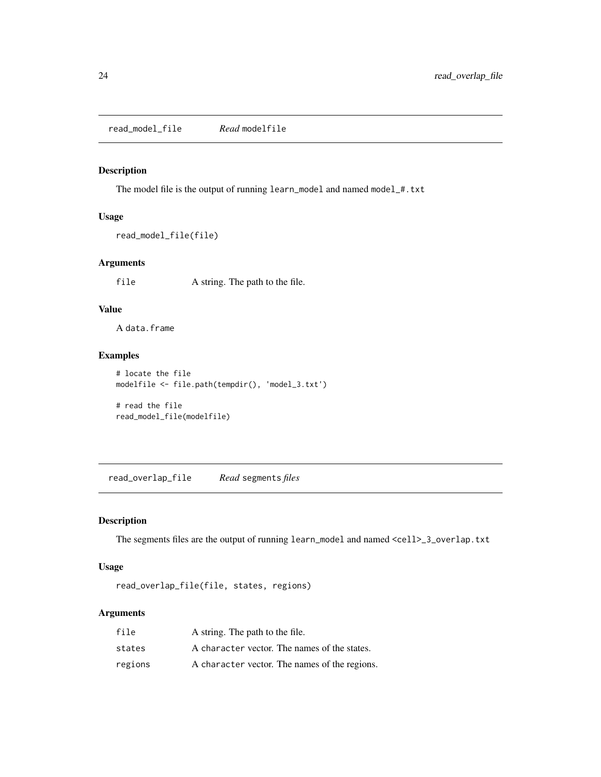<span id="page-23-0"></span>read\_model\_file *Read* modelfile

#### Description

The model file is the output of running learn\_model and named model\_#.txt

#### Usage

```
read_model_file(file)
```
#### Arguments

file A string. The path to the file.

## Value

A data.frame

#### Examples

```
# locate the file
modelfile <- file.path(tempdir(), 'model_3.txt')
```
# read the file read\_model\_file(modelfile)

read\_overlap\_file *Read* segments *files*

#### Description

The segments files are the output of running learn\_model and named <cell>\_3\_overlap.txt

## Usage

```
read_overlap_file(file, states, regions)
```
#### Arguments

| file    | A string. The path to the file.               |
|---------|-----------------------------------------------|
| states  | A character vector. The names of the states.  |
| regions | A character vector. The names of the regions. |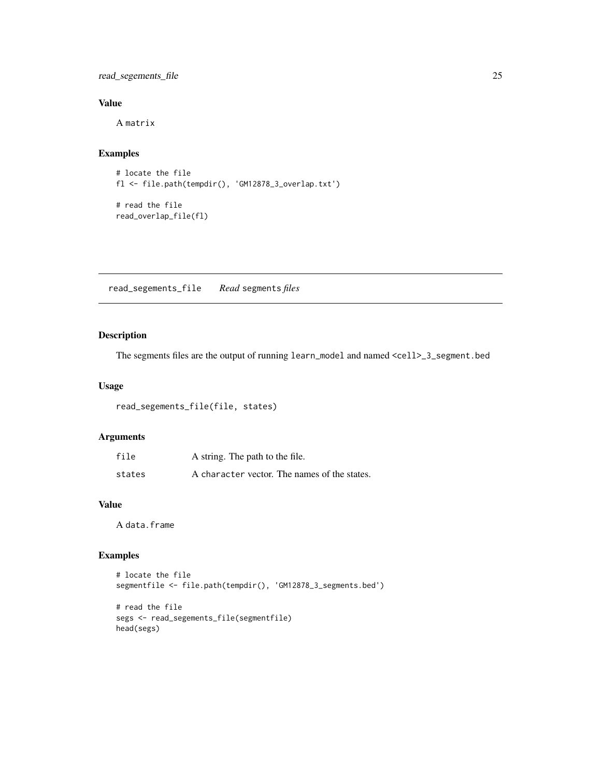<span id="page-24-0"></span>read\_segements\_file 25

#### Value

A matrix

## Examples

```
# locate the file
fl <- file.path(tempdir(), 'GM12878_3_overlap.txt')
# read the file
```
read\_overlap\_file(fl)

read\_segements\_file *Read* segments *files*

## Description

The segments files are the output of running learn\_model and named <cell>\_3\_segment.bed

#### Usage

read\_segements\_file(file, states)

#### Arguments

| file   | A string. The path to the file.              |
|--------|----------------------------------------------|
| states | A character vector. The names of the states. |

## Value

A data.frame

#### Examples

```
# locate the file
segmentfile <- file.path(tempdir(), 'GM12878_3_segments.bed')
# read the file
segs <- read_segements_file(segmentfile)
head(segs)
```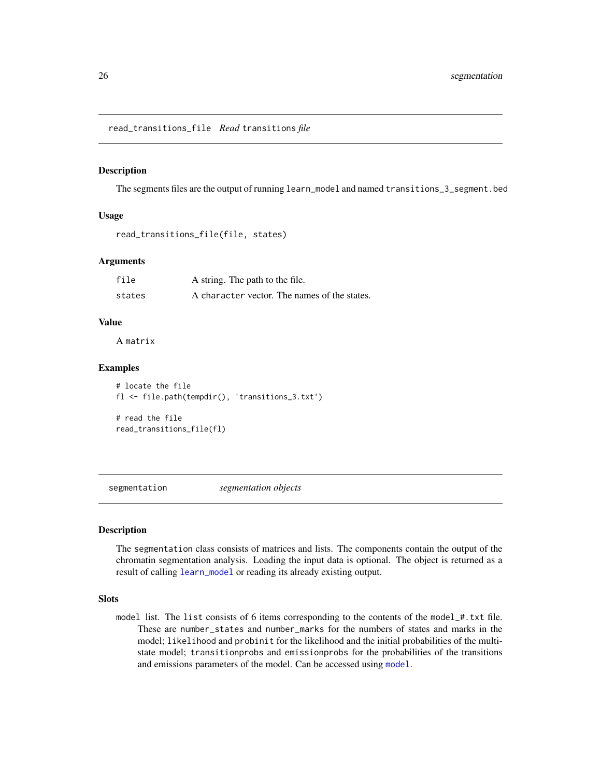<span id="page-25-0"></span>read\_transitions\_file *Read* transitions *file*

#### Description

The segments files are the output of running learn\_model and named transitions\_3\_segment.bed

#### Usage

```
read_transitions_file(file, states)
```
#### Arguments

| file   | A string. The path to the file.              |
|--------|----------------------------------------------|
| states | A character vector. The names of the states. |

#### Value

A matrix

#### Examples

# locate the file fl <- file.path(tempdir(), 'transitions\_3.txt')

# read the file read\_transitions\_file(fl)

<span id="page-25-1"></span>segmentation *segmentation objects*

#### Description

The segmentation class consists of matrices and lists. The components contain the output of the chromatin segmentation analysis. Loading the input data is optional. The object is returned as a result of calling [learn\\_model](#page-12-1) or reading its already existing output.

#### **Slots**

model list. The list consists of 6 items corresponding to the contents of the model\_#.txt file. These are number\_states and number\_marks for the numbers of states and marks in the model; likelihood and probinit for the likelihood and the initial probabilities of the multistate model; transitionprobs and emissionprobs for the probabilities of the transitions and emissions parameters of the model. Can be accessed using [model](#page-3-1).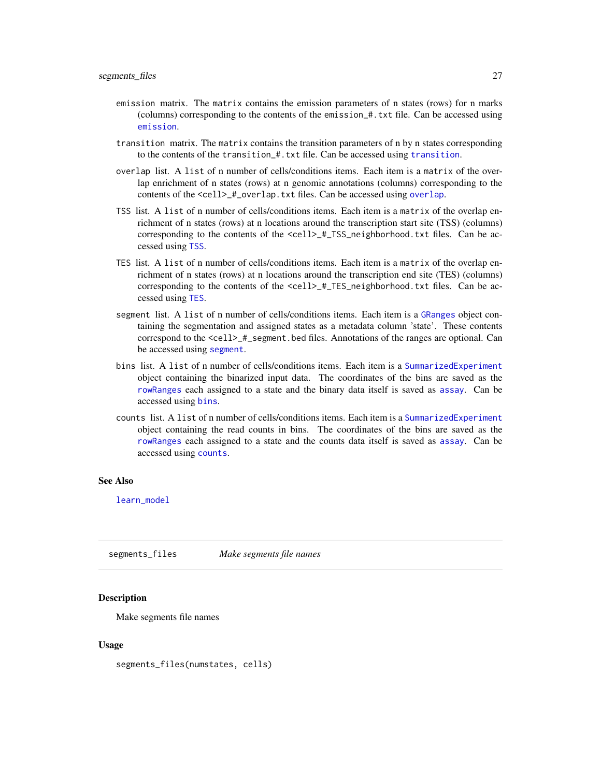- <span id="page-26-0"></span>emission matrix. The matrix contains the emission parameters of n states (rows) for n marks (columns) corresponding to the contents of the emission\_#.txt file. Can be accessed using [emission](#page-3-1).
- transition matrix. The matrix contains the transition parameters of n by n states corresponding to the contents of the transition\_#.txt file. Can be accessed using [transition](#page-3-1).
- overlap list. A list of n number of cells/conditions items. Each item is a matrix of the overlap enrichment of n states (rows) at n genomic annotations (columns) corresponding to the contents of the <cell>\_#\_[overlap](#page-3-1).txt files. Can be accessed using overlap.
- TSS list. A list of n number of cells/conditions items. Each item is a matrix of the overlap enrichment of n states (rows) at n locations around the transcription start site (TSS) (columns) corresponding to the contents of the <cell>\_#\_TSS\_neighborhood.txt files. Can be accessed using [TSS](#page-3-1).
- TES list. A list of n number of cells/conditions items. Each item is a matrix of the overlap enrichment of n states (rows) at n locations around the transcription end site (TES) (columns) corresponding to the contents of the  $\text{ceil} > \text{\#\_TES\_neighborhood.txt}$  files. Can be accessed using [TES](#page-3-1).
- segment list. A list of n number of cells/conditions items. Each item is a [GRanges](#page-0-0) object containing the segmentation and assigned states as a metadata column 'state'. These contents correspond to the <cell>\_#\_segment.bed files. Annotations of the ranges are optional. Can be accessed using [segment](#page-3-1).
- bins list. A list of n number of cells/conditions items. Each item is a [SummarizedExperiment](#page-0-0) object containing the binarized input data. The coordinates of the bins are saved as the [rowRanges](#page-0-0) each assigned to a state and the binary data itself is saved as [assay](#page-0-0). Can be accessed using [bins](#page-3-1).
- counts list. A list of n number of cells/conditions items. Each item is a [SummarizedExperiment](#page-0-0) object containing the read counts in bins. The coordinates of the bins are saved as the [rowRanges](#page-0-0) each assigned to a state and the counts data itself is saved as [assay](#page-0-0). Can be accessed using [counts](#page-3-1).

#### See Also

[learn\\_model](#page-12-1)

segments\_files *Make segments file names*

#### **Description**

Make segments file names

#### Usage

segments\_files(numstates, cells)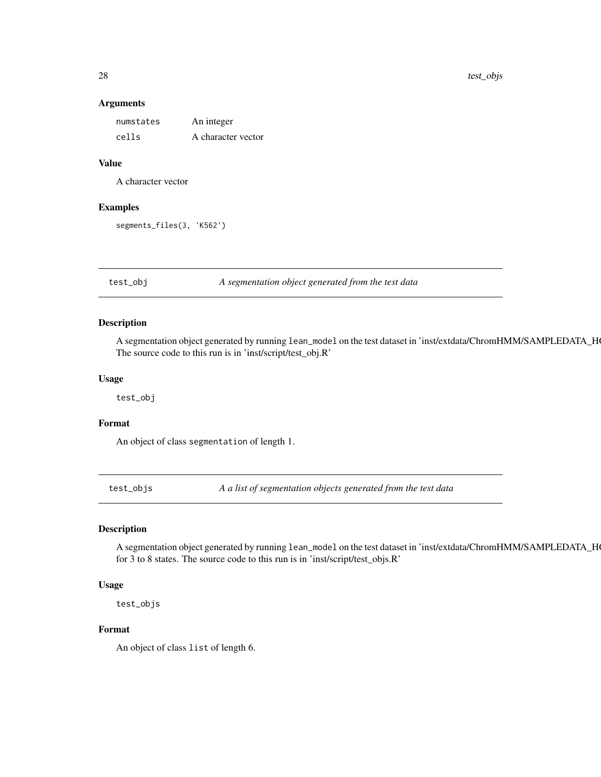#### Arguments

| numstates | An integer         |
|-----------|--------------------|
| cells     | A character vector |

#### Value

A character vector

#### Examples

segments\_files(3, 'K562')

test\_obj *A segmentation object generated from the test data*

#### Description

A segmentation object generated by running lean\_model on the test dataset in 'inst/extdata/ChromHMM/SAMPLEDATA\_H The source code to this run is in 'inst/script/test\_obj.R'

#### Usage

test\_obj

#### Format

An object of class segmentation of length 1.

test\_objs *A a list of segmentation objects generated from the test data*

#### Description

A segmentation object generated by running lean\_model on the test dataset in 'inst/extdata/ChromHMM/SAMPLEDATA\_H for 3 to 8 states. The source code to this run is in 'inst/script/test\_objs.R'

#### Usage

test\_objs

#### Format

An object of class list of length 6.

<span id="page-27-0"></span>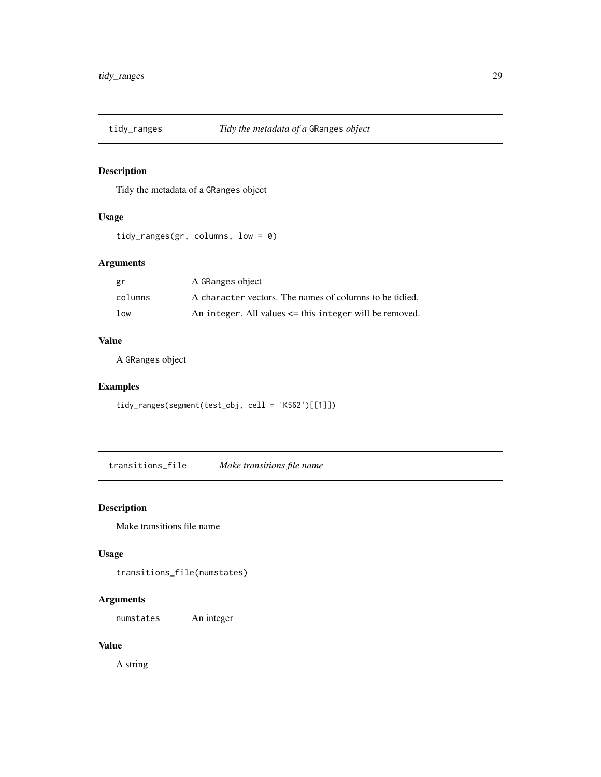<span id="page-28-0"></span>

#### Description

Tidy the metadata of a GRanges object

## Usage

```
tidy_ranges(gr, columns, low = 0)
```
#### Arguments

| gr      | A GRanges object                                            |
|---------|-------------------------------------------------------------|
| columns | A character vectors. The names of columns to be tidied.     |
| low     | An integer. All values $\leq$ this integer will be removed. |

## Value

A GRanges object

#### Examples

tidy\_ranges(segment(test\_obj, cell = 'K562')[[1]])

transitions\_file *Make transitions file name*

#### Description

Make transitions file name

#### Usage

transitions\_file(numstates)

## Arguments

numstates An integer

## Value

A string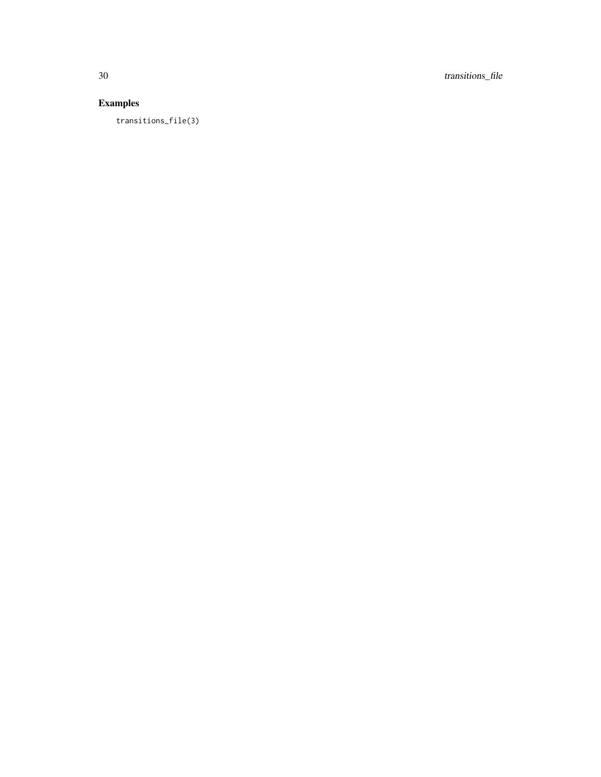30 transitions\_file

## Examples

transitions\_file(3)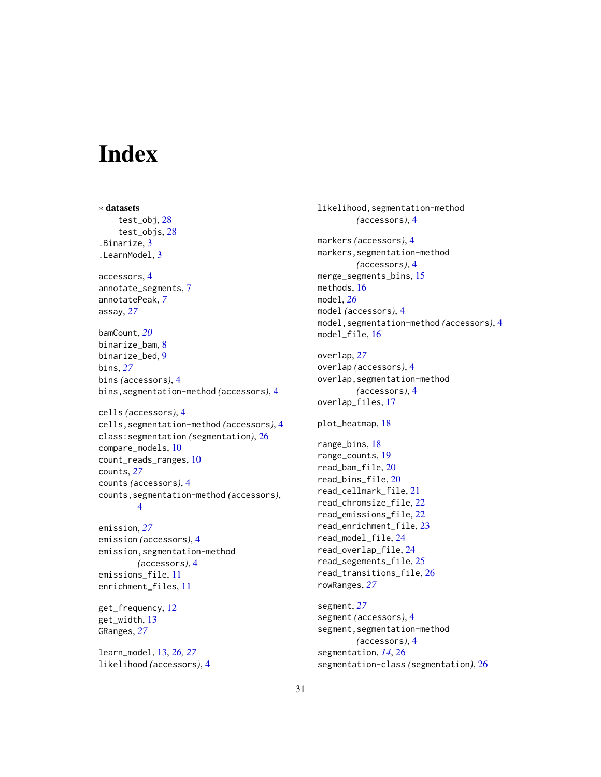# <span id="page-30-0"></span>Index

```
∗ datasets
    test_obj, 28
    test_objs, 28
.Binarize, 3
.LearnModel, 3
accessors, 4
annotate_segments, 7
annotatePeak, 7
assay, 27
bamCount, 20
binarize_bam, 8
binarize_bed, 9
bins, 27
bins (accessors), 4
bins,segmentation-method (accessors), 4
cells (accessors), 4
cells,segmentation-method (accessors), 4
class:segmentation (segmentation), 26
compare_models, 10
count_reads_ranges, 10
counts, 27
counts (accessors), 4
counts,segmentation-method (accessors),
        4
emission, 27
emission (accessors), 4
emission,segmentation-method
        (accessors), 4
emissions_file, 11
enrichment_files, 11
```
get\_frequency, [12](#page-11-0) get\_width, [13](#page-12-0) GRanges, *[27](#page-26-0)*

learn\_model, [13,](#page-12-0) *[26,](#page-25-0) [27](#page-26-0)* likelihood *(*accessors*)*, [4](#page-3-0)

```
likelihood,segmentation-method
        (accessors), 4
markers (accessors), 4
markers,segmentation-method
        (accessors), 4
merge_segments_bins, 15
methods, 16
model, 26
model (accessors), 4
model,segmentation-method (accessors), 4
model_file, 16
overlap, 27
overlap (accessors), 4
overlap,segmentation-method
        (accessors), 4
overlap_files, 17
plot_heatmap, 18
range_bins, 18
range_counts, 19
read_bam_file, 20
read_bins_file, 20
read_cellmark_file, 21
read_chromsize_file, 22
read_emissions_file, 22
read_enrichment_file, 23
read_model_file, 24
read_overlap_file, 24
read_segements_file, 25
read_transitions_file, 26
rowRanges, 27
segment, 27
segment (accessors), 4
segment,segmentation-method
        (accessors), 4
segmentation, 14, 26
```
segmentation-class *(*segmentation*)*, [26](#page-25-0)